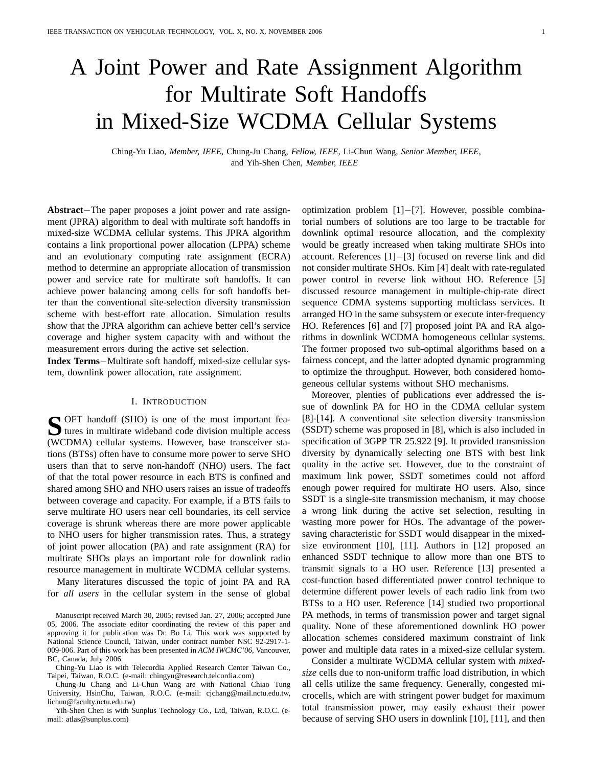# A Joint Power and Rate Assignment Algorithm for Multirate Soft Handoffs in Mixed-Size WCDMA Cellular Systems

Ching-Yu Liao, *Member, IEEE,* Chung-Ju Chang, *Fellow, IEEE,* Li-Chun Wang, *Senior Member, IEEE,* and Yih-Shen Chen, *Member, IEEE*

**Abstract**−The paper proposes a joint power and rate assignment (JPRA) algorithm to deal with multirate soft handoffs in mixed-size WCDMA cellular systems. This JPRA algorithm contains a link proportional power allocation (LPPA) scheme and an evolutionary computing rate assignment (ECRA) method to determine an appropriate allocation of transmission power and service rate for multirate soft handoffs. It can achieve power balancing among cells for soft handoffs better than the conventional site-selection diversity transmission scheme with best-effort rate allocation. Simulation results show that the JPRA algorithm can achieve better cell's service coverage and higher system capacity with and without the measurement errors during the active set selection.

**Index Terms**−Multirate soft handoff, mixed-size cellular system, downlink power allocation, rate assignment.

#### I. INTRODUCTION

**S** OFT handoff (SHO) is one of the most important fea-<br>tures in multirate wideband code division multiple access tures in multirate wideband code division multiple access (WCDMA) cellular systems. However, base transceiver stations (BTSs) often have to consume more power to serve SHO users than that to serve non-handoff (NHO) users. The fact of that the total power resource in each BTS is confined and shared among SHO and NHO users raises an issue of tradeoffs between coverage and capacity. For example, if a BTS fails to serve multirate HO users near cell boundaries, its cell service coverage is shrunk whereas there are more power applicable to NHO users for higher transmission rates. Thus, a strategy of joint power allocation (PA) and rate assignment (RA) for multirate SHOs plays an important role for downlink radio resource management in multirate WCDMA cellular systems.

Many literatures discussed the topic of joint PA and RA for *all users* in the cellular system in the sense of global

Chung-Ju Chang and Li-Chun Wang are with National Chiao Tung University, HsinChu, Taiwan, R.O.C. (e-mail: cjchang@mail.nctu.edu.tw, lichun@faculty.nctu.edu.tw)

Yih-Shen Chen is with Sunplus Technology Co., Ltd, Taiwan, R.O.C. (email: atlas@sunplus.com)

optimization problem [1]−[7]. However, possible combinatorial numbers of solutions are too large to be tractable for downlink optimal resource allocation, and the complexity would be greatly increased when taking multirate SHOs into account. References [1]−[3] focused on reverse link and did not consider multirate SHOs. Kim [4] dealt with rate-regulated power control in reverse link without HO. Reference [5] discussed resource management in multiple-chip-rate direct sequence CDMA systems supporting multiclass services. It arranged HO in the same subsystem or execute inter-frequency HO. References [6] and [7] proposed joint PA and RA algorithms in downlink WCDMA homogeneous cellular systems. The former proposed two sub-optimal algorithms based on a fairness concept, and the latter adopted dynamic programming to optimize the throughput. However, both considered homogeneous cellular systems without SHO mechanisms.

Moreover, plenties of publications ever addressed the issue of downlink PA for HO in the CDMA cellular system [8]-[14]. A conventional site selection diversity transmission (SSDT) scheme was proposed in [8], which is also included in specification of 3GPP TR 25.922 [9]. It provided transmission diversity by dynamically selecting one BTS with best link quality in the active set. However, due to the constraint of maximum link power, SSDT sometimes could not afford enough power required for multirate HO users. Also, since SSDT is a single-site transmission mechanism, it may choose a wrong link during the active set selection, resulting in wasting more power for HOs. The advantage of the powersaving characteristic for SSDT would disappear in the mixedsize environment [10], [11]. Authors in [12] proposed an enhanced SSDT technique to allow more than one BTS to transmit signals to a HO user. Reference [13] presented a cost-function based differentiated power control technique to determine different power levels of each radio link from two BTSs to a HO user. Reference [14] studied two proportional PA methods, in terms of transmission power and target signal quality. None of these aforementioned downlink HO power allocation schemes considered maximum constraint of link power and multiple data rates in a mixed-size cellular system.

Consider a multirate WCDMA cellular system with *mixedsize* cells due to non-uniform traffic load distribution, in which all cells utilize the same frequency. Generally, congested microcells, which are with stringent power budget for maximum total transmission power, may easily exhaust their power because of serving SHO users in downlink [10], [11], and then

Manuscript received March 30, 2005; revised Jan. 27, 2006; accepted June 05, 2006. The associate editor coordinating the review of this paper and approving it for publication was Dr. Bo Li. This work was supported by National Science Council, Taiwan, under contract number NSC 92-2917-1- 009-006. Part of this work has been presented in *ACM IWCMC'06*, Vancouver, BC, Canada, July 2006.

Ching-Yu Liao is with Telecordia Applied Research Center Taiwan Co., Taipei, Taiwan, R.O.C. (e-mail: chingyu@research.telcordia.com)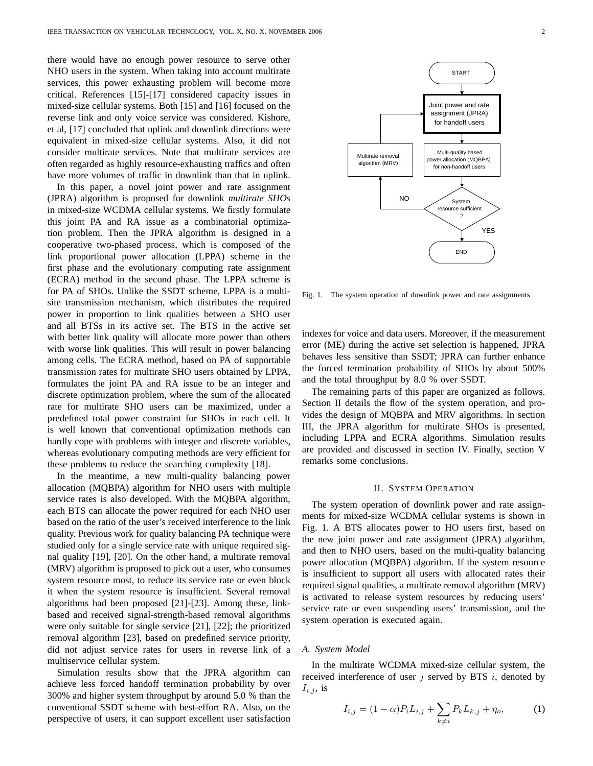there would have no enough power resource to serve other NHO users in the system. When taking into account multirate services, this power exhausting problem will become more critical. References [15]-[17] considered capacity issues in mixed-size cellular systems. Both [15] and [16] focused on the reverse link and only voice service was considered. Kishore, et al, [17] concluded that uplink and downlink directions were equivalent in mixed-size cellular systems. Also, it did not consider multirate services. Note that multirate services are often regarded as highly resource-exhausting traffics and often have more volumes of traffic in downlink than that in uplink.

In this paper, a novel joint power and rate assignment (JPRA) algorithm is proposed for downlink *multirate SHOs* in mixed-size WCDMA cellular systems. We firstly formulate this joint PA and RA issue as a combinatorial optimization problem. Then the JPRA algorithm is designed in a cooperative two-phased process, which is composed of the link proportional power allocation (LPPA) scheme in the first phase and the evolutionary computing rate assignment (ECRA) method in the second phase. The LPPA scheme is for PA of SHOs. Unlike the SSDT scheme, LPPA is a multisite transmission mechanism, which distributes the required power in proportion to link qualities between a SHO user and all BTSs in its active set. The BTS in the active set with better link quality will allocate more power than others with worse link qualities. This will result in power balancing among cells. The ECRA method, based on PA of supportable transmission rates for multirate SHO users obtained by LPPA, formulates the joint PA and RA issue to be an integer and discrete optimization problem, where the sum of the allocated rate for multirate SHO users can be maximized, under a predefined total power constraint for SHOs in each cell. It is well known that conventional optimization methods can hardly cope with problems with integer and discrete variables, whereas evolutionary computing methods are very efficient for these problems to reduce the searching complexity [18].

In the meantime, a new multi-quality balancing power allocation (MQBPA) algorithm for NHO users with multiple service rates is also developed. With the MQBPA algorithm, each BTS can allocate the power required for each NHO user based on the ratio of the user's received interference to the link quality. Previous work for quality balancing PA technique were studied only for a single service rate with unique required signal quality [19], [20]. On the other hand, a multirate removal (MRV) algorithm is proposed to pick out a user, who consumes system resource most, to reduce its service rate or even block it when the system resource is insufficient. Several removal algorithms had been proposed [21]-[23]. Among these, linkbased and received signal-strength-based removal algorithms were only suitable for single service [21], [22]; the prioritized removal algorithm [23], based on predefined service priority, did not adjust service rates for users in reverse link of a multiservice cellular system.

Simulation results show that the JPRA algorithm can achieve less forced handoff termination probability by over 300% and higher system throughput by around 5.0 % than the conventional SSDT scheme with best-effort RA. Also, on the perspective of users, it can support excellent user satisfaction



Fig. 1. The system operation of downlink power and rate assignments

indexes for voice and data users. Moreover, if the measurement error (ME) during the active set selection is happened, JPRA behaves less sensitive than SSDT; JPRA can further enhance the forced termination probability of SHOs by about 500% and the total throughput by 8.0 % over SSDT.

The remaining parts of this paper are organized as follows. Section II details the flow of the system operation, and provides the design of MQBPA and MRV algorithms. In section III, the JPRA algorithm for multirate SHOs is presented, including LPPA and ECRA algorithms. Simulation results are provided and discussed in section IV. Finally, section V remarks some conclusions.

#### II. SYSTEM OPERATION

The system operation of downlink power and rate assignments for mixed-size WCDMA cellular systems is shown in Fig. 1. A BTS allocates power to HO users first, based on the new joint power and rate assignment (JPRA) algorithm, and then to NHO users, based on the multi-quality balancing power allocation (MQBPA) algorithm. If the system resource is insufficient to support all users with allocated rates their required signal qualities, a multirate removal algorithm (MRV) is activated to release system resources by reducing users' service rate or even suspending users' transmission, and the system operation is executed again.

#### *A. System Model*

In the multirate WCDMA mixed-size cellular system, the received interference of user  $j$  served by BTS  $i$ , denoted by  $I_{i,j}$ , is

$$
I_{i,j} = (1 - \alpha) P_i L_{i,j} + \sum_{k \neq i} P_k L_{k,j} + \eta_o,
$$
 (1)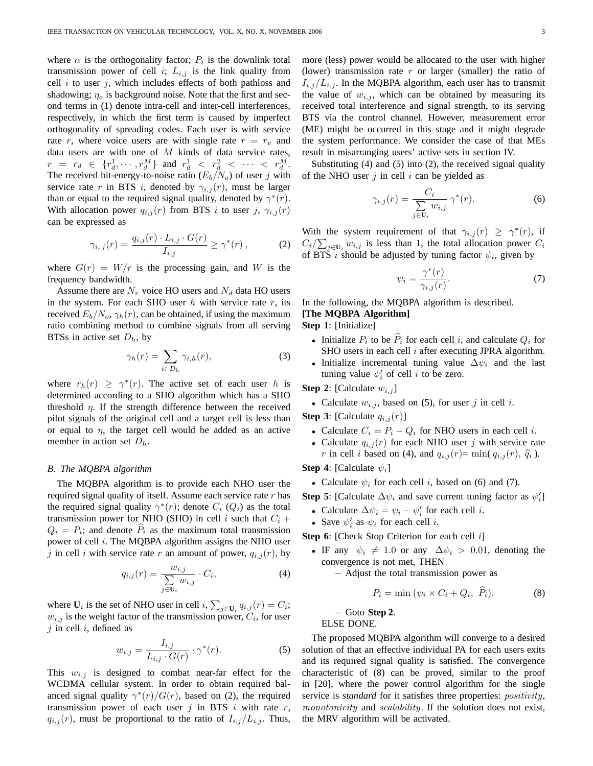where  $\alpha$  is the orthogonality factor;  $P_i$  is the downlink total transmission power of cell *i*;  $L_{i,j}$  is the link quality from cell  $i$  to user  $j$ , which includes effects of both pathloss and shadowing;  $\eta_o$  is background noise. Note that the first and second terms in (1) denote intra-cell and inter-cell interferences, respectively, in which the first term is caused by imperfect orthogonality of spreading codes. Each user is with service rate r, where voice users are with single rate  $r = r_v$  and data users are with one of  $M$  kinds of data service rates,  $r = r_d \in \{r_d^1, \cdots, r_d^M\}$  and  $r_d^1 < r_d^2 < \cdots < r_d^M$ . The received bit-energy-to-noise ratio  $(E_b/N_o)$  of user j with service rate r in BTS i, denoted by  $\gamma_{i,j}(r)$ , must be larger than or equal to the required signal quality, denoted by  $\gamma^*(r)$ . With allocation power  $q_{i,j}(r)$  from BTS i to user j,  $\gamma_{i,j}(r)$ can be expressed as

$$
\gamma_{i,\,j}(r) = \frac{q_{i,j}(r) \cdot L_{i,j} \cdot G(r)}{I_{i,j}} \ge \gamma^*(r) \,,\tag{2}
$$

where  $G(r) = W/r$  is the processing gain, and W is the frequency bandwidth.

Assume there are  $N_v$  voice HO users and  $N_d$  data HO users in the system. For each SHO user  $h$  with service rate  $r$ , its received  $E_b/N_o$ ,  $\gamma_h(r)$ , can be obtained, if using the maximum ratio combining method to combine signals from all serving BTSs in active set  $D_h$ , by

$$
\gamma_h(r) = \sum_{i \in D_h} \gamma_{i,h}(r),\tag{3}
$$

where  $r_h(r) \geq \gamma^*(r)$ . The active set of each user h is determined according to a SHO algorithm which has a SHO threshold  $\eta$ . If the strength difference between the received pilot signals of the original cell and a target cell is less than or equal to  $\eta$ , the target cell would be added as an active member in action set  $D_h$ .

#### *B. The MQBPA algorithm*

The MQBPA algorithm is to provide each NHO user the required signal quality of itself. Assume each service rate  $r$  has the required signal quality  $\gamma^*(r)$ ; denote  $C_i$  ( $Q_i$ ) as the total transmission power for NHO (SHO) in cell i such that  $C_i$  +  $Q_i = P_i$ ; and denote  $\hat{P}_i$  as the maximum total transmission power of cell  $i$ . The MQBPA algorithm assigns the NHO user j in cell i with service rate r an amount of power,  $q_{i,j}(r)$ , by

$$
q_{i,j}(r) = \frac{w_{i,j}}{\sum_{j \in U_i} w_{i,j}} \cdot C_i,
$$
 (4)

where  $U_i$  is the set of NHO user in cell *i*,  $\sum$  $j \in U_i$   $q_{i,j}(r) = C_i;$  $w_{i,j}$  is the weight factor of the transmission power,  $C_i$ , for user  $j$  in cell  $i$ , defined as

$$
w_{i,j} = \frac{I_{i,j}}{L_{i,j} \cdot G(r)} \cdot \gamma^*(r). \tag{5}
$$

This  $w_{i,j}$  is designed to combat near-far effect for the WCDMA cellular system. In order to obtain required balanced signal quality  $\gamma^*(r)/G(r)$ , based on (2), the required transmission power of each user  $j$  in BTS  $i$  with rate  $r$ ,  $q_{i,j}(r)$ , must be proportional to the ratio of  $I_{i,j}/L_{i,j}$ . Thus, more (less) power would be allocated to the user with higher (lower) transmission rate  $r$  or larger (smaller) the ratio of  $I_{i,j}/L_{i,j}$ . In the MQBPA algorithm, each user has to transmit the value of  $w_{i,j}$ , which can be obtained by measuring its received total interference and signal strength, to its serving BTS via the control channel. However, measurement error (ME) might be occurred in this stage and it might degrade the system performance. We consider the case of that MEs result in misarranging users' active sets in section IV.

Substituting (4) and (5) into (2), the received signal quality of the NHO user  $j$  in cell  $i$  can be yielded as

$$
\gamma_{i,j}(r) = \frac{C_i}{\sum_{j \in \mathbf{U}_i} w_{i,j}} \,\gamma^*(r). \tag{6}
$$

With the system requirement of that  $\gamma_{i,j}(r) \geq \gamma^*(r)$ , if  $C_i/\sum_{j\in\mathbf{U}_i} w_{i,j}$  is less than 1, the total allocation power  $C_i$ of BTS *i* should be adjusted by tuning factor  $\psi_i$ , given by

$$
\psi_i = \frac{\gamma^*(r)}{\gamma_{i,j}(r)}.\tag{7}
$$

In the following, the MQBPA algorithm is described. **[The MQBPA Algorithm]**

**Step 1**: [Initialize]

- Initialize  $P_i$  to be  $\widehat{P}_i$  for each cell i, and calculate  $Q_i$  for SHO users in each cell  $i$  after executing JPRA algorithm.
- Initialize incremental tuning value  $\Delta \psi_i$  and the last tuning value  $\psi_i'$  of cell *i* to be zero.

**Step 2**: [Calculate  $w_{i,j}$ ]

• Calculate  $w_{i,j}$ , based on (5), for user j in cell i.

**Step 3**: [Calculate  $q_{i,j}(r)$ ]

- Calculate  $C_i = P_i Q_i$  for NHO users in each cell *i*.
- Calculate  $q_{i,j}(r)$  for each NHO user j with service rate r in cell *i* based on (4), and  $q_{i,j}(r)$ = min(  $q_{i,j}(r)$ ,  $\hat{q}_i$ ).

**Step 4**: [Calculate  $\psi_i$ ]

• Calculate  $\psi_i$  for each cell i, based on (6) and (7).

**Step 5**: [Calculate  $\Delta \psi_i$  and save current tuning factor as  $\psi'_i$ ]

- Calculate  $\Delta \psi_i = \psi_i \psi'_i$  for each cell *i*.
- Save  $\psi'_i$  as  $\psi_i$  for each cell *i*.

**Step 6**: [Check Stop Criterion for each cell i]

- IF any  $\psi_i \neq 1.0$  or any  $\Delta \psi_i > 0.01$ , denoting the convergence is not met, THEN
	- − Adjust the total transmission power as

$$
P_i = \min (\psi_i \times C_i + Q_i, \ \widehat{P}_i). \tag{8}
$$

− Goto **Step 2**.

ELSE DONE.

The proposed MQBPA algorithm will converge to a desired solution of that an effective individual PA for each users exits and its required signal quality is satisfied. The convergence characteristic of (8) can be proved, similar to the proof in [20], where the power control algorithm for the single service is *standard* for it satisfies three properties: *positivity*, monotonicity and scalability. If the solution does not exist, the MRV algorithm will be activated.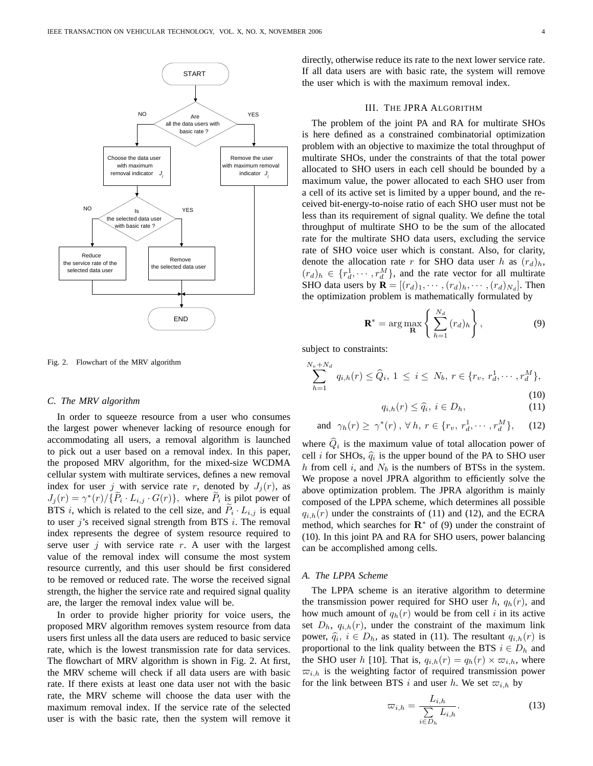

Fig. 2. Flowchart of the MRV algorithm

#### *C. The MRV algorithm*

In order to squeeze resource from a user who consumes the largest power whenever lacking of resource enough for accommodating all users, a removal algorithm is launched to pick out a user based on a removal index. In this paper, the proposed MRV algorithm, for the mixed-size WCDMA cellular system with multirate services, defines a new removal index for user j with service rate r, denoted by  $J_i(r)$ , as  $J_j(r) = \gamma^*(r)/\{\widetilde{P}_i \cdot L_{i,j} \cdot G(r)\}\,$ , where  $\widetilde{P}_i$  is pilot power of BTS i, which is related to the cell size, and  $\widetilde{P}_i \cdot L_{i,j}$  is equal to user  $j$ 's received signal strength from BTS  $i$ . The removal index represents the degree of system resource required to serve user  $j$  with service rate  $r$ . A user with the largest value of the removal index will consume the most system resource currently, and this user should be first considered to be removed or reduced rate. The worse the received signal strength, the higher the service rate and required signal quality are, the larger the removal index value will be.

In order to provide higher priority for voice users, the proposed MRV algorithm removes system resource from data users first unless all the data users are reduced to basic service rate, which is the lowest transmission rate for data services. The flowchart of MRV algorithm is shown in Fig. 2. At first, the MRV scheme will check if all data users are with basic rate. If there exists at least one data user not with the basic rate, the MRV scheme will choose the data user with the maximum removal index. If the service rate of the selected user is with the basic rate, then the system will remove it directly, otherwise reduce its rate to the next lower service rate. If all data users are with basic rate, the system will remove the user which is with the maximum removal index.

#### III. THE JPRA ALGORITHM

The problem of the joint PA and RA for multirate SHOs is here defined as a constrained combinatorial optimization problem with an objective to maximize the total throughput of multirate SHOs, under the constraints of that the total power allocated to SHO users in each cell should be bounded by a maximum value, the power allocated to each SHO user from a cell of its active set is limited by a upper bound, and the received bit-energy-to-noise ratio of each SHO user must not be less than its requirement of signal quality. We define the total throughput of multirate SHO to be the sum of the allocated rate for the multirate SHO data users, excluding the service rate of SHO voice user which is constant. Also, for clarity, denote the allocation rate r for SHO data user h as  $(r_d)_h$ ,  $(r_d)_h \in \{r_d^1, \cdots, r_d^M\}$ , and the rate vector for all multirate SHO data users by  $\mathbf{R} = [(r_d)_1, \cdots, (r_d)_h, \cdots, (r_d)_{N_d}]$ . Then the optimization problem is mathematically formulated by

$$
\mathbf{R}^* = \arg \max_{\mathbf{R}} \left\{ \sum_{h=1}^{N_d} (r_d)_h \right\},\tag{9}
$$

subject to constraints:

$$
\sum_{h=1}^{N_v+N_d} q_{i,h}(r) \le \widehat{Q}_i, 1 \le i \le N_b, r \in \{r_v, r_d^1, \cdots, r_d^M\},\tag{10}
$$

$$
q_{i,h}(r) \le \hat{q}_i, \ i \in D_h,\tag{11}
$$

and 
$$
\gamma_h(r) \geq \gamma^*(r)
$$
,  $\forall h, r \in \{r_v, r_d^1, \cdots, r_d^M\}$ , (12)

where  $\hat{Q}_i$  is the maximum value of total allocation power of cell *i* for SHOs,  $\hat{q}_i$  is the upper bound of the PA to SHO user h from cell i, and  $N_b$  is the numbers of BTSs in the system. We propose a novel JPRA algorithm to efficiently solve the above optimization problem. The JPRA algorithm is mainly composed of the LPPA scheme, which determines all possible  $q_{i,h}(r)$  under the constraints of (11) and (12), and the ECRA method, which searches for  $\mathbb{R}^*$  of (9) under the constraint of (10). In this joint PA and RA for SHO users, power balancing can be accomplished among cells.

#### *A. The LPPA Scheme*

The LPPA scheme is an iterative algorithm to determine the transmission power required for SHO user  $h$ ,  $q_h(r)$ , and how much amount of  $q_h(r)$  would be from cell i in its active set  $D_h$ ,  $q_{i,h}(r)$ , under the constraint of the maximum link power,  $\hat{q}_i$ ,  $i \in D_h$ , as stated in (11). The resultant  $q_{i,h}(r)$  is proportional to the link quality between the BTS  $i \in D_h$  and the SHO user h [10]. That is,  $q_{i,h}(r) = q_h(r) \times \overline{\omega}_{i,h}$ , where  $\overline{\omega}_{i,h}$  is the weighting factor of required transmission power for the link between BTS i and user h. We set  $\varpi_{i,h}$  by

$$
\varpi_{i,h} = \frac{L_{i,h}}{\sum\limits_{i \in D_h} L_{i,h}}.\tag{13}
$$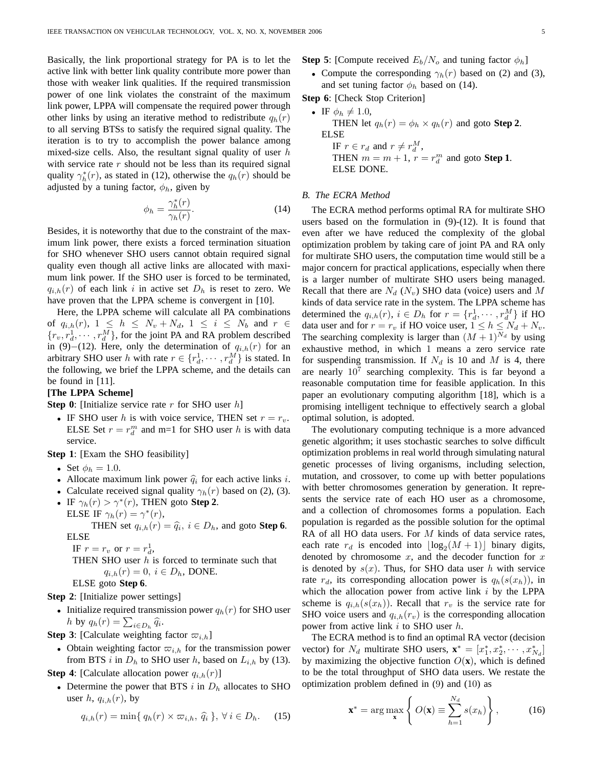Basically, the link proportional strategy for PA is to let the active link with better link quality contribute more power than those with weaker link qualities. If the required transmission power of one link violates the constraint of the maximum link power, LPPA will compensate the required power through other links by using an iterative method to redistribute  $q_h(r)$ to all serving BTSs to satisfy the required signal quality. The iteration is to try to accomplish the power balance among mixed-size cells. Also, the resultant signal quality of user  $h$ with service rate  $r$  should not be less than its required signal quality  $\gamma_h^*(r)$ , as stated in (12), otherwise the  $q_h(r)$  should be adjusted by a tuning factor,  $\phi_h$ , given by

$$
\phi_h = \frac{\gamma_h^*(r)}{\gamma_h(r)}.\tag{14}
$$

Besides, it is noteworthy that due to the constraint of the maximum link power, there exists a forced termination situation for SHO whenever SHO users cannot obtain required signal quality even though all active links are allocated with maximum link power. If the SHO user is forced to be terminated,  $q_{i,h}(r)$  of each link i in active set  $D_h$  is reset to zero. We have proven that the LPPA scheme is convergent in [10].

Here, the LPPA scheme will calculate all PA combinations of  $q_{i,h}(r)$ ,  $1 \leq h \leq N_v + N_d$ ,  $1 \leq i \leq N_b$  and  $r \in$  $\{r_v, r_d^1, \cdots, r_d^M\}$ , for the joint PA and RA problem described in (9)−(12). Here, only the determination of  $q_{i,h}(r)$  for an arbitrary SHO user h with rate  $r \in \{r_d^1, \dots, r_d^M\}$  is stated. In the following, we brief the LPPA scheme, and the details can be found in [11].

#### **[The LPPA Scheme]**

**Step 0**: [Initialize service rate r for SHO user h]

• IF SHO user h is with voice service, THEN set  $r = r_v$ . ELSE Set  $r = r_d^m$  and m=1 for SHO user h is with data service.

**Step 1**: [Exam the SHO feasibility]

- Set  $\phi_h = 1.0$ .
- Allocate maximum link power  $\hat{q}_i$  for each active links i.
- Calculate received signal quality  $\gamma_h(r)$  based on (2), (3).
- IF  $\gamma_h(r) > \gamma^*(r)$ , THEN goto **Step 2**.

ELSE IF  $\gamma_h(r) = \gamma^*(r)$ , THEN set  $q_{i,h}(r) = \hat{q}_i$ ,  $i \in D_h$ , and goto **Step 6**. ELSE

IF  $r = r_v$  or  $r = r_d^1$ ,

```
THEN SHO user h is forced to terminate such that
```
 $q_{i,h}(r) = 0, i \in D_h$ , DONE.

ELSE goto **Step 6**.

**Step 2**: [Initialize power settings]

• Initialize required transmission power  $q_h(r)$  for SHO user muanze required transm<br>
h by  $q_h(r) = \sum_{i \in D_h} \hat{q}_i$ .

**Step 3**: [Calculate weighting factor  $\varpi_{i,h}$ ]

• Obtain weighting factor  $\varpi_{i,h}$  for the transmission power from BTS i in  $D_h$  to SHO user h, based on  $L_{i,h}$  by (13).

**Step 4**: [Calculate allocation power  $q_{i,h}(r)$ ]

• Determine the power that BTS i in  $D_h$  allocates to SHO user h,  $q_{i,h}(r)$ , by

$$
q_{i,h}(r) = \min\{q_h(r) \times \varpi_{i,h}, \,\widehat{q}_i\}, \,\forall \, i \in D_h. \tag{15}
$$

**Step 5**: [Compute received  $E_b/N_o$  and tuning factor  $\phi_h$ ]

• Compute the corresponding  $\gamma_h(r)$  based on (2) and (3), and set tuning factor  $\phi_h$  based on (14).

**Step 6**: [Check Stop Criterion]

\n- IF 
$$
\phi_h \neq 1.0
$$
, THEN let  $q_h(r) = \phi_h \times q_h(r)$  and goto Step 2. ELSE IF  $r \in r_d$  and  $r \neq r_d^M$ , THEN  $m = m + 1$ ,  $r = r_d^m$  and goto Step 1. ELSE DONE.
\n

#### *B. The ECRA Method*

The ECRA method performs optimal RA for multirate SHO users based on the formulation in (9)-(12). It is found that even after we have reduced the complexity of the global optimization problem by taking care of joint PA and RA only for multirate SHO users, the computation time would still be a major concern for practical applications, especially when there is a larger number of multirate SHO users being managed. Recall that there are  $N_d$  ( $N_v$ ) SHO data (voice) users and M kinds of data service rate in the system. The LPPA scheme has determined the  $q_{i,h}(r)$ ,  $i \in D_h$  for  $r = \{r_d^1, \dots, r_d^M\}$  if HO data user and for  $r = r_v$  if HO voice user,  $1 \le h \le N_d + N_v$ . The searching complexity is larger than  $(M + 1)^{N_d}$  by using exhaustive method, in which 1 means a zero service rate for suspending transmission. If  $N_d$  is 10 and M is 4, there are nearly  $10^7$  searching complexity. This is far beyond a reasonable computation time for feasible application. In this paper an evolutionary computing algorithm [18], which is a promising intelligent technique to effectively search a global optimal solution, is adopted.

The evolutionary computing technique is a more advanced genetic algorithm; it uses stochastic searches to solve difficult optimization problems in real world through simulating natural genetic processes of living organisms, including selection, mutation, and crossover, to come up with better populations with better chromosomes generation by generation. It represents the service rate of each HO user as a chromosome, and a collection of chromosomes forms a population. Each population is regarded as the possible solution for the optimal RA of all HO data users. For  $M$  kinds of data service rates, each rate  $r_d$  is encoded into  $\lfloor \log_2(M + 1) \rfloor$  binary digits, denoted by chromosome  $x$ , and the decoder function for  $x$ is denoted by  $s(x)$ . Thus, for SHO data user h with service rate  $r_d$ , its corresponding allocation power is  $q_h(s(x_h))$ , in which the allocation power from active link  $i$  by the LPPA scheme is  $q_{i,h}(s(x_h))$ . Recall that  $r_v$  is the service rate for SHO voice users and  $q_{i,h}(r_v)$  is the corresponding allocation power from active link  $i$  to SHO user  $h$ .

The ECRA method is to find an optimal RA vector (decision vector) for  $N_d$  multirate SHO users,  $\mathbf{x}^* = [x_1^*, x_2^*, \cdots, x_{N_d}^*]$ by maximizing the objective function  $O(x)$ , which is defined to be the total throughput of SHO data users. We restate the optimization problem defined in (9) and (10) as

$$
\mathbf{x}^* = \arg \max_{\mathbf{x}} \left\{ O(\mathbf{x}) \equiv \sum_{h=1}^{N_d} s(x_h) \right\},\tag{16}
$$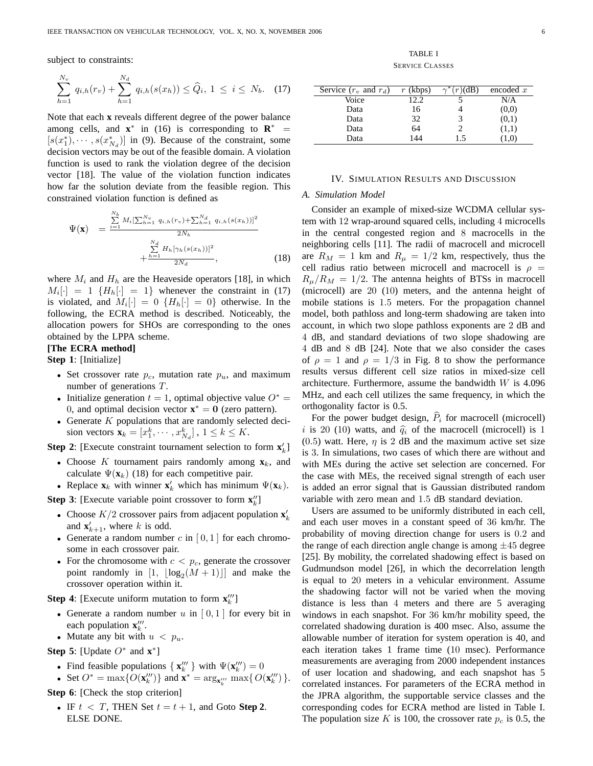subject to constraints:

$$
\sum_{h=1}^{N_v} q_{i,h}(r_v) + \sum_{h=1}^{N_d} q_{i,h}(s(x_h)) \le \widehat{Q}_i, 1 \le i \le N_b. \quad (17)
$$

Note that each **x** reveals different degree of the power balance among cells, and  $\mathbf{x}^*$  in (16) is corresponding to  $\mathbf{R}^*$  =  $[s(x_1^*), \cdots, s(x_{N_d}^*)]$  in (9). Because of the constraint, some decision vectors may be out of the feasible domain. A violation function is used to rank the violation degree of the decision vector [18]. The value of the violation function indicates how far the solution deviate from the feasible region. This constrained violation function is defined as

$$
\Psi(\mathbf{x}) = \frac{\sum_{i=1}^{N_b} M_i \left[\sum_{h=1}^{N_v} q_{i,h}(r_v) + \sum_{h=1}^{N_d} q_{i,h}(s(x_h))\right]^2}{2N_b} + \frac{\sum_{h=1}^{N_d} H_h[\gamma_h(s(x_h))]^2}{2N_d},
$$
\n(18)

where  $M_i$  and  $H_h$  are the Heaveside operators [18], in which  $M_i[\cdot] = 1 \{H_h[\cdot] = 1\}$  whenever the constraint in (17) is violated, and  $M_i[\cdot] = 0 \{H_h[\cdot] = 0\}$  otherwise. In the following, the ECRA method is described. Noticeably, the allocation powers for SHOs are corresponding to the ones obtained by the LPPA scheme.

#### **[The ECRA method]**

**Step 1**: [Initialize]

- Set crossover rate  $p_c$ , mutation rate  $p_u$ , and maximum number of generations T.
- Initialize generation  $t = 1$ , optimal objective value  $O^* =$ 0, and optimal decision vector  $\mathbf{x}^* = \mathbf{0}$  (zero pattern).
- Generate  $K$  populations that are randomly selected decision vectors  $\mathbf{x}_k = [x_1^k, \cdots, x_{N_d}^k]$ ,  $1 \le k \le K$ .

**Step 2**: [Execute constraint tournament selection to form  $\mathbf{x}'_k$ ]

- Choose K tournament pairs randomly among  $\mathbf{x}_k$ , and calculate  $\Psi(\mathbf{x}_k)$  (18) for each competitive pair.
- Replace  $\mathbf{x}_k$  with winner  $\mathbf{x}'_k$  which has minimum  $\Psi(\mathbf{x}_k)$ .

**Step 3**: [Execute variable point crossover to form  $\mathbf{x}_{k}^{"}$ ]

- Choose  $K/2$  crossover pairs from adjacent population  $\mathbf{x}'_k$ and  $\mathbf{x}'_{k+1}$ , where k is odd.
- Generate a random number c in  $[0,1]$  for each chromosome in each crossover pair.
- For the chromosome with  $c < p_c$ , generate the crossover point randomly in  $[1, \lfloor \log_2(M + 1) \rfloor]$  and make the crossover operation within it.

**Step 4**: [Execute uniform mutation to form  $\mathbf{x}_{k}^{\prime\prime\prime}$ ]

- Generate a random number  $u$  in  $[0,1]$  for every bit in each population  $\mathbf{x}'''_k$ .
- Mutate any bit with  $u < p_u$ .

**Step 5**: [Update  $O^*$  and  $\mathbf{x}^*$ ]

- Find feasible populations  $\{ \mathbf{x}_{k}^{\prime\prime\prime} \}$  with  $\Psi(\mathbf{x}_{k}^{\prime\prime\prime}) = 0$
- Set  $O^* = \max\{O(\mathbf{x}_k^{\prime\prime\prime})\}$  and  $\mathbf{x}^* = \arg_{\mathbf{x}_k^{\prime\prime\prime}} \max\{O(\mathbf{x}_k^{\prime\prime\prime})\}.$

**Step 6**: [Check the stop criterion]

• IF  $t < T$ , THEN Set  $t = t + 1$ , and Goto Step 2. ELSE DONE.

TABLE I SERVICE CLASSES

| Service $(r_v$ and $r_d$ ) | $r$ (kbps) | (dB)<br>$\sim$ | encoded $x$ |
|----------------------------|------------|----------------|-------------|
| Voice                      | 12.2       |                | N/A         |
| Data                       | 16         |                | (0,0)       |
| Data                       | 32         |                | (0,1)       |
| Data                       | 64         |                | (1,1)       |
| Data                       | 144        | 1.5            | 1.01        |

#### IV. SIMULATION RESULTS AND DISCUSSION

#### *A. Simulation Model*

Consider an example of mixed-size WCDMA cellular system with 12 wrap-around squared cells, including 4 microcells in the central congested region and 8 macrocells in the neighboring cells [11]. The radii of macrocell and microcell are  $R_M = 1$  km and  $R_\mu = 1/2$  km, respectively, thus the cell radius ratio between microcell and macrocell is  $\rho =$  $R_{\mu}/R_M = 1/2$ . The antenna heights of BTSs in macrocell (microcell) are 20 (10) meters, and the antenna height of mobile stations is 1.5 meters. For the propagation channel model, both pathloss and long-term shadowing are taken into account, in which two slope pathloss exponents are 2 dB and 4 dB, and standard deviations of two slope shadowing are 4 dB and 8 dB [24]. Note that we also consider the cases of  $\rho = 1$  and  $\rho = 1/3$  in Fig. 8 to show the performance results versus different cell size ratios in mixed-size cell architecture. Furthermore, assume the bandwidth  $W$  is 4.096 MHz, and each cell utilizes the same frequency, in which the orthogonality factor is 0.5.

For the power budget design,  $\hat{P}_i$  for macrocell (microcell) i is 20 (10) watts, and  $\hat{q}_i$  of the macrocell (microcell) is 1 (0.5) watt. Here,  $\eta$  is 2 dB and the maximum active set size is 3. In simulations, two cases of which there are without and with MEs during the active set selection are concerned. For the case with MEs, the received signal strength of each user is added an error signal that is Gaussian distributed random variable with zero mean and 1.5 dB standard deviation.

Users are assumed to be uniformly distributed in each cell, and each user moves in a constant speed of 36 km/hr. The probability of moving direction change for users is 0.2 and the range of each direction angle change is among  $\pm 45$  degree [25]. By mobility, the correlated shadowing effect is based on Gudmundson model [26], in which the decorrelation length is equal to 20 meters in a vehicular environment. Assume the shadowing factor will not be varied when the moving distance is less than 4 meters and there are 5 averaging windows in each snapshot. For 36 km/hr mobility speed, the correlated shadowing duration is 400 msec. Also, assume the allowable number of iteration for system operation is 40, and each iteration takes 1 frame time (10 msec). Performance measurements are averaging from 2000 independent instances of user location and shadowing, and each snapshot has 5 correlated instances. For parameters of the ECRA method in the JPRA algorithm, the supportable service classes and the corresponding codes for ECRA method are listed in Table I. The population size K is 100, the crossover rate  $p_c$  is 0.5, the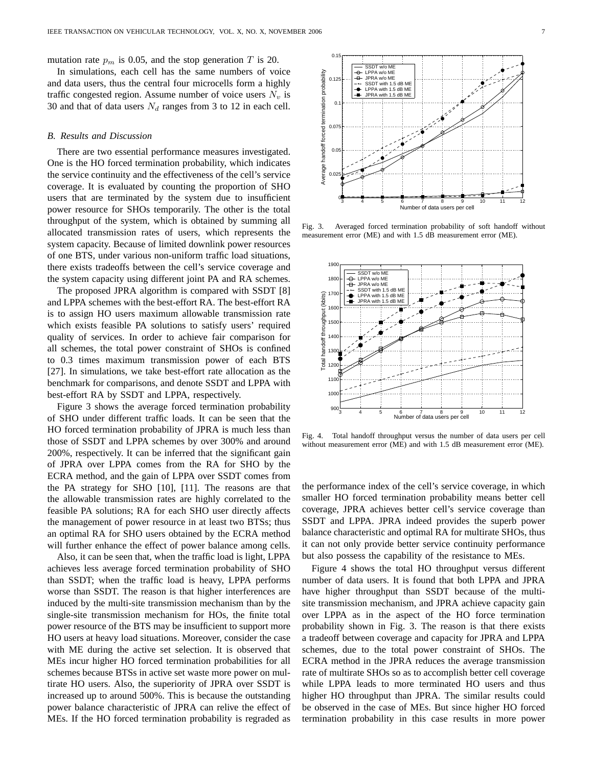mutation rate  $p_m$  is 0.05, and the stop generation T is 20.

In simulations, each cell has the same numbers of voice and data users, thus the central four microcells form a highly traffic congested region. Assume number of voice users  $N_v$  is 30 and that of data users  $N_d$  ranges from 3 to 12 in each cell.

#### *B. Results and Discussion*

There are two essential performance measures investigated. One is the HO forced termination probability, which indicates the service continuity and the effectiveness of the cell's service coverage. It is evaluated by counting the proportion of SHO users that are terminated by the system due to insufficient power resource for SHOs temporarily. The other is the total throughput of the system, which is obtained by summing all allocated transmission rates of users, which represents the system capacity. Because of limited downlink power resources of one BTS, under various non-uniform traffic load situations, there exists tradeoffs between the cell's service coverage and the system capacity using different joint PA and RA schemes.

The proposed JPRA algorithm is compared with SSDT [8] and LPPA schemes with the best-effort RA. The best-effort RA is to assign HO users maximum allowable transmission rate which exists feasible PA solutions to satisfy users' required quality of services. In order to achieve fair comparison for all schemes, the total power constraint of SHOs is confined to 0.3 times maximum transmission power of each BTS [27]. In simulations, we take best-effort rate allocation as the benchmark for comparisons, and denote SSDT and LPPA with best-effort RA by SSDT and LPPA, respectively.

Figure 3 shows the average forced termination probability of SHO under different traffic loads. It can be seen that the HO forced termination probability of JPRA is much less than those of SSDT and LPPA schemes by over 300% and around 200%, respectively. It can be inferred that the significant gain of JPRA over LPPA comes from the RA for SHO by the ECRA method, and the gain of LPPA over SSDT comes from the PA strategy for SHO [10], [11]. The reasons are that the allowable transmission rates are highly correlated to the feasible PA solutions; RA for each SHO user directly affects the management of power resource in at least two BTSs; thus an optimal RA for SHO users obtained by the ECRA method will further enhance the effect of power balance among cells.

Also, it can be seen that, when the traffic load is light, LPPA achieves less average forced termination probability of SHO than SSDT; when the traffic load is heavy, LPPA performs worse than SSDT. The reason is that higher interferences are induced by the multi-site transmission mechanism than by the single-site transmission mechanism for HOs, the finite total power resource of the BTS may be insufficient to support more HO users at heavy load situations. Moreover, consider the case with ME during the active set selection. It is observed that MEs incur higher HO forced termination probabilities for all schemes because BTSs in active set waste more power on multirate HO users. Also, the superiority of JPRA over SSDT is increased up to around 500%. This is because the outstanding power balance characteristic of JPRA can relive the effect of MEs. If the HO forced termination probability is regraded as



Fig. 3. Averaged forced termination probability of soft handoff without measurement error (ME) and with 1.5 dB measurement error (ME).



Fig. 4. Total handoff throughput versus the number of data users per cell without measurement error (ME) and with 1.5 dB measurement error (ME).

the performance index of the cell's service coverage, in which smaller HO forced termination probability means better cell coverage, JPRA achieves better cell's service coverage than SSDT and LPPA. JPRA indeed provides the superb power balance characteristic and optimal RA for multirate SHOs, thus it can not only provide better service continuity performance but also possess the capability of the resistance to MEs.

Figure 4 shows the total HO throughput versus different number of data users. It is found that both LPPA and JPRA have higher throughput than SSDT because of the multisite transmission mechanism, and JPRA achieve capacity gain over LPPA as in the aspect of the HO force termination probability shown in Fig. 3. The reason is that there exists a tradeoff between coverage and capacity for JPRA and LPPA schemes, due to the total power constraint of SHOs. The ECRA method in the JPRA reduces the average transmission rate of multirate SHOs so as to accomplish better cell coverage while LPPA leads to more terminated HO users and thus higher HO throughput than JPRA. The similar results could be observed in the case of MEs. But since higher HO forced termination probability in this case results in more power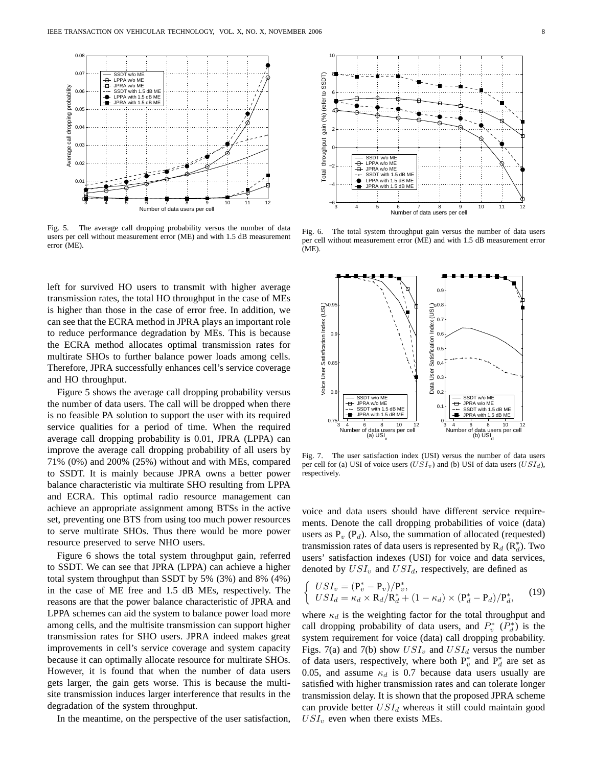

Fig. 5. The average call dropping probability versus the number of data users per cell without measurement error (ME) and with 1.5 dB measurement error (ME).

left for survived HO users to transmit with higher average transmission rates, the total HO throughput in the case of MEs is higher than those in the case of error free. In addition, we can see that the ECRA method in JPRA plays an important role to reduce performance degradation by MEs. This is because the ECRA method allocates optimal transmission rates for multirate SHOs to further balance power loads among cells. Therefore, JPRA successfully enhances cell's service coverage and HO throughput.

Figure 5 shows the average call dropping probability versus the number of data users. The call will be dropped when there is no feasible PA solution to support the user with its required service qualities for a period of time. When the required average call dropping probability is 0.01, JPRA (LPPA) can improve the average call dropping probability of all users by 71% (0%) and 200% (25%) without and with MEs, compared to SSDT. It is mainly because JPRA owns a better power balance characteristic via multirate SHO resulting from LPPA and ECRA. This optimal radio resource management can achieve an appropriate assignment among BTSs in the active set, preventing one BTS from using too much power resources to serve multirate SHOs. Thus there would be more power resource preserved to serve NHO users.

Figure 6 shows the total system throughput gain, referred to SSDT. We can see that JPRA (LPPA) can achieve a higher total system throughput than SSDT by 5% (3%) and 8% (4%) in the case of ME free and 1.5 dB MEs, respectively. The reasons are that the power balance characteristic of JPRA and LPPA schemes can aid the system to balance power load more among cells, and the multisite transmission can support higher transmission rates for SHO users. JPRA indeed makes great improvements in cell's service coverage and system capacity because it can optimally allocate resource for multirate SHOs. However, it is found that when the number of data users gets larger, the gain gets worse. This is because the multisite transmission induces larger interference that results in the degradation of the system throughput.

In the meantime, on the perspective of the user satisfaction,



Fig. 6. The total system throughput gain versus the number of data users per cell without measurement error (ME) and with 1.5 dB measurement error (ME).



Fig. 7. The user satisfaction index (USI) versus the number of data users per cell for (a) USI of voice users  $(USI<sub>v</sub>)$  and (b) USI of data users  $(USI<sub>d</sub>)$ , respectively.

voice and data users should have different service requirements. Denote the call dropping probabilities of voice (data) users as  $P_v$  ( $P_d$ ). Also, the summation of allocated (requested) transmission rates of data users is represented by  $R_d$  ( $R_d^*$ ). Two users' satisfaction indexes (USI) for voice and data services, denoted by  $USI_v$  and  $USI_d$ , respectively, are defined as

$$
\begin{cases}\nUSI_v = (\mathbf{P}_v^* - \mathbf{P}_v)/\mathbf{P}_v^*,\\ \nUSI_d = \kappa_d \times \mathbf{R}_d/\mathbf{R}_d^* + (1 - \kappa_d) \times (\mathbf{P}_d^* - \mathbf{P}_d)/\mathbf{P}_d^*,\n\end{cases}
$$
\n(19)

where  $\kappa_d$  is the weighting factor for the total throughput and call dropping probability of data users, and  $P_v^*$  ( $P_d^*$ ) is the system requirement for voice (data) call dropping probability. Figs. 7(a) and 7(b) show  $USI_v$  and  $USI_d$  versus the number of data users, respectively, where both  $P_v^*$  and  $P_d^*$  are set as 0.05, and assume  $\kappa_d$  is 0.7 because data users usually are satisfied with higher transmission rates and can tolerate longer transmission delay. It is shown that the proposed JPRA scheme can provide better  $USI_d$  whereas it still could maintain good  $USI<sub>v</sub>$  even when there exists MEs.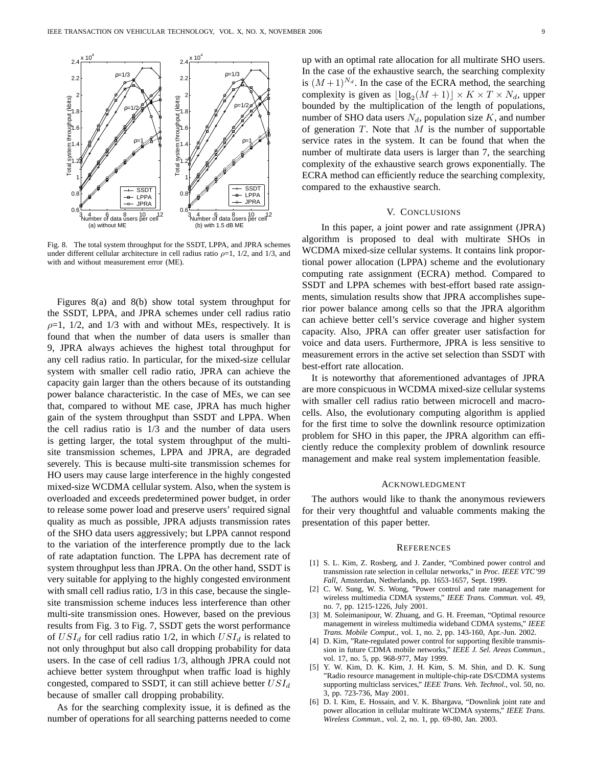

Fig. 8. The total system throughput for the SSDT, LPPA, and JPRA schemes under different cellular architecture in cell radius ratio  $\rho=1$ , 1/2, and 1/3, and with and without measurement error (ME).

Figures 8(a) and 8(b) show total system throughput for the SSDT, LPPA, and JPRA schemes under cell radius ratio  $\rho=1$ , 1/2, and 1/3 with and without MEs, respectively. It is found that when the number of data users is smaller than 9, JPRA always achieves the highest total throughput for any cell radius ratio. In particular, for the mixed-size cellular system with smaller cell radio ratio, JPRA can achieve the capacity gain larger than the others because of its outstanding power balance characteristic. In the case of MEs, we can see that, compared to without ME case, JPRA has much higher gain of the system throughput than SSDT and LPPA. When the cell radius ratio is 1/3 and the number of data users is getting larger, the total system throughput of the multisite transmission schemes, LPPA and JPRA, are degraded severely. This is because multi-site transmission schemes for HO users may cause large interference in the highly congested mixed-size WCDMA cellular system. Also, when the system is overloaded and exceeds predetermined power budget, in order to release some power load and preserve users' required signal quality as much as possible, JPRA adjusts transmission rates of the SHO data users aggressively; but LPPA cannot respond to the variation of the interference promptly due to the lack of rate adaptation function. The LPPA has decrement rate of system throughput less than JPRA. On the other hand, SSDT is very suitable for applying to the highly congested environment with small cell radius ratio,  $1/3$  in this case, because the singlesite transmission scheme induces less interference than other multi-site transmission ones. However, based on the previous results from Fig. 3 to Fig. 7, SSDT gets the worst performance of  $USI_d$  for cell radius ratio 1/2, in which  $USI_d$  is related to not only throughput but also call dropping probability for data users. In the case of cell radius 1/3, although JPRA could not achieve better system throughput when traffic load is highly congested, compared to SSDT, it can still achieve better  $USI_d$ because of smaller call dropping probability.

As for the searching complexity issue, it is defined as the number of operations for all searching patterns needed to come up with an optimal rate allocation for all multirate SHO users. In the case of the exhaustive search, the searching complexity is  $(M+1)^{N_d}$ . In the case of the ECRA method, the searching complexity is given as  $\lfloor \log_2(M + 1) \rfloor \times K \times T \times N_d$ , upper bounded by the multiplication of the length of populations, number of SHO data users  $N_d$ , population size K, and number of generation  $T$ . Note that  $M$  is the number of supportable service rates in the system. It can be found that when the number of multirate data users is larger than 7, the searching complexity of the exhaustive search grows exponentially. The ECRA method can efficiently reduce the searching complexity, compared to the exhaustive search.

#### V. CONCLUSIONS

In this paper, a joint power and rate assignment (JPRA) algorithm is proposed to deal with multirate SHOs in WCDMA mixed-size cellular systems. It contains link proportional power allocation (LPPA) scheme and the evolutionary computing rate assignment (ECRA) method. Compared to SSDT and LPPA schemes with best-effort based rate assignments, simulation results show that JPRA accomplishes superior power balance among cells so that the JPRA algorithm can achieve better cell's service coverage and higher system capacity. Also, JPRA can offer greater user satisfaction for voice and data users. Furthermore, JPRA is less sensitive to measurement errors in the active set selection than SSDT with best-effort rate allocation.

It is noteworthy that aforementioned advantages of JPRA are more conspicuous in WCDMA mixed-size cellular systems with smaller cell radius ratio between microcell and macrocells. Also, the evolutionary computing algorithm is applied for the first time to solve the downlink resource optimization problem for SHO in this paper, the JPRA algorithm can efficiently reduce the complexity problem of downlink resource management and make real system implementation feasible.

#### ACKNOWLEDGMENT

The authors would like to thank the anonymous reviewers for their very thoughtful and valuable comments making the presentation of this paper better.

#### **REFERENCES**

- [1] S. L. Kim, Z. Rosberg, and J. Zander, "Combined power control and transmission rate selection in cellular networks," in *Proc. IEEE VTC'99 Fall*, Amsterdan, Netherlands, pp. 1653-1657, Sept. 1999.
- [2] C. W. Sung, W. S. Wong, "Power control and rate management for wireless multimedia CDMA systems," *IEEE Trans. Commun.* vol. 49, no. 7, pp. 1215-1226, July 2001.
- [3] M. Soleimanipour, W. Zhuang, and G. H. Freeman, "Optimal resource management in wireless multimedia wideband CDMA systems," *IEEE Trans. Mobile Comput.*, vol. 1, no. 2, pp. 143-160, Apr.-Jun. 2002.
- [4] D. Kim, "Rate-regulated power control for supporting flexible transmission in future CDMA mobile networks," *IEEE J. Sel. Areas Commun.*, vol. 17, no. 5, pp. 968-977, May 1999.
- [5] Y. W. Kim, D. K. Kim, J. H. Kim, S. M. Shin, and D. K. Sung "Radio resource management in multiple-chip-rate DS/CDMA systems supporting multiclass services," *IEEE Trans. Veh. Technol.*, vol. 50, no. 3, pp. 723-736, May 2001.
- [6] D. I. Kim, E. Hossain, and V. K. Bhargava, "Downlink joint rate and power allocation in cellular multirate WCDMA systems," *IEEE Trans. Wireless Commun.*, vol. 2, no. 1, pp. 69-80, Jan. 2003.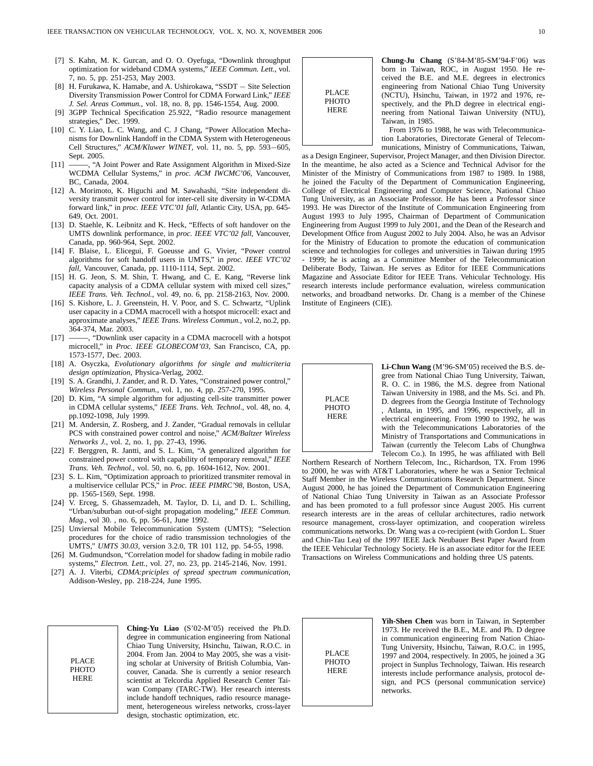- [7] S. Kahn, M. K. Gurcan, and O. O. Oyefuga, "Downlink throughput optimization for wideband CDMA systems," *IEEE Commun. Lett.*, vol. 7, no. 5, pp. 251-253, May 2003.
- [8] H. Furukawa, K. Hamabe, and A. Ushirokawa, "SSDT Site Selection Diversity Transmission Power Control for CDMA Forward Link," *IEEE J. Sel. Areas Commun.*, vol. 18, no. 8, pp. 1546-1554, Aug. 2000.
- [9] 3GPP Technical Specification 25.922, "Radio resource management strategies," Dec. 1999.
- [10] C. Y. Liao, L. C. Wang, and C. J Chang, "Power Allocation Mechanisms for Downlink Handoff in the CDMA System with Heterogeneous Cell Structures," *ACM/Kluwer WINET*, vol. 11, no. 5, pp. 593−605, Sept. 2005.
- [11] ——, "A Joint Power and Rate Assignment Algorithm in Mixed-Size WCDMA Cellular Systems," in *proc. ACM IWCMC'06*, Vancouver, BC, Canada, 2004.
- [12] A. Morimoto, K. Higuchi and M. Sawahashi, "Site independent diversity transmit power control for inter-cell site diversity in W-CDMA forward link," in *proc. IEEE VTC'01 fall*, Atlantic City, USA, pp. 645- 649, Oct. 2001.
- [13] D. Staehle, K. Leibnitz and K. Heck, "Effects of soft handover on the UMTS downlink performance, in *proc. IEEE VTC'02 fall*, Vancouver, Canada, pp. 960-964, Sept. 2002.
- [14] F. Blaise, L. Elicegui, F. Goeusse and G. Vivier, "Power control algorithms for soft handoff users in UMTS," in *proc. IEEE VTC'02 fall*, Vancouver, Canada, pp. 1110-1114, Sept. 2002.
- [15] H. G. Jeon, S. M. Shin, T. Hwang, and C. E. Kang, "Reverse link capacity analysis of a CDMA cellular system with mixed cell sizes," *IEEE Trans. Veh. Technol.*, vol. 49, no. 6, pp. 2158-2163, Nov. 2000.
- [16] S. Kishore, L. J. Greenstein, H. V. Poor, and S. C. Schwartz, "Uplink user capacity in a CDMA macrocell with a hotspot microcell: exact and approximate analyses," *IEEE Trans. Wireless Commun.*, vol.2, no.2, pp. 364-374, Mar. 2003.
- [17] ——, "Downlink user capacity in a CDMA macrocell with a hotspot microcell," in *Proc. IEEE GLOBECOM'03*, San Francisco, CA, pp. 1573-1577, Dec. 2003.
- [18] A. Osyczka, *Evolutionary algorithms for single and multicriteria design optimization*, Physica-Verlag, 2002.
- [19] S. A. Grandhi, J. Zander, and R. D. Yates, "Constrained power control," *Wireless Personal Commun.*, vol. 1, no. 4, pp. 257-270, 1995.
- [20] D. Kim, "A simple algorithm for adjusting cell-site transmitter power in CDMA cellular systems," *IEEE Trans. Veh. Technol.*, vol. 48, no. 4, pp.1092-1098, July 1999.
- [21] M. Andersin, Z. Rosberg, and J. Zander, "Gradual removals in cellular PCS with constrained power control and noise," *ACM/Baltzer Wireless Networks J.*, vol. 2, no. 1, pp. 27-43, 1996.
- [22] F. Berggren, R. Jantti, and S. L. Kim, "A generalized algorithm for constrained power control with capability of temporary removal," *IEEE Trans. Veh. Technol.*, vol. 50, no. 6, pp. 1604-1612, Nov. 2001.
- [23] S. L. Kim, "Optimization approach to prioritized transmiter removal in a multiservice cellular PCS," in *Proc. IEEE PIMRC'98*, Boston, USA, pp. 1565-1569, Sept. 1998.
- [24] V. Erceg, S. Ghassemzadeh, M. Taylor, D. Li, and D. L. Schilling, "Urban/suburban out-of-sight propagation modeling," *IEEE Commun. Mag.*, vol 30. , no. 6, pp. 56-61, June 1992.
- [25] Unviersal Mobile Telecommunication System (UMTS); "Selection procedures for the choice of radio transmission technologies of the UMTS," *UMTS 30.03*, version 3.2.0, TR 101 112, pp. 54-55, 1998.
- [26] M. Gudmundson, "Correlation model for shadow fading in mobile radio systems," *Electron. Lett.*, vol. 27, no. 23, pp. 2145-2146, Nov. 1991.
- [27] A. J. Viterbi, *CDMA:priciples of spread spectrum communication*, Addison-Wesley, pp. 218-224, June 1995.

PLACE **PHOTO** HERE

**Ching-Yu Liao** (S'02-M'05) received the Ph.D. degree in communication engineering from National Chiao Tung University, Hsinchu, Taiwan, R.O.C. in 2004. From Jan. 2004 to May 2005, she was a visiting scholar at University of British Columbia, Vancouver, Canada. She is currently a senior research scientist at Telcordia Applied Research Center Taiwan Company (TARC-TW). Her research interests include handoff techniques, radio resource management, heterogeneous wireless networks, cross-layer design, stochastic optimization, etc.

PLACE **PHOTO HERE** 

**Chung-Ju Chang** (S'84-M'85-SM'94-F'06) was born in Taiwan, ROC, in August 1950. He received the B.E. and M.E. degrees in electronics engineering from National Chiao Tung University (NCTU), Hsinchu, Taiwan, in 1972 and 1976, respectively, and the Ph.D degree in electrical engineering from National Taiwan University (NTU), Taiwan, in 1985.

From 1976 to 1988, he was with Telecommunication Laboratories, Directorate General of Telecommunications, Ministry of Communications, Taiwan,

as a Design Engineer, Supervisor, Project Manager, and then Division Director. In the meantime, he also acted as a Science and Technical Advisor for the Minister of the Ministry of Communications from 1987 to 1989. In 1988, he joined the Faculty of the Department of Communication Engineering, College of Electrical Engineering and Computer Science, National Chiao Tung University, as an Associate Professor. He has been a Professor since 1993. He was Director of the Institute of Communication Engineering from August 1993 to July 1995, Chairman of Department of Communication Engineering from August 1999 to July 2001, and the Dean of the Research and Development Office from August 2002 to July 2004. Also, he was an Advisor for the Ministry of Education to promote the education of communication science and technologies for colleges and universities in Taiwan during 1995 1999; he is acting as a Committee Member of the Telecommunication Deliberate Body, Taiwan. He serves as Editor for IEEE Communications Magazine and Associate Editor for IEEE Trans. Vehicular Technology. His research interests include performance evaluation, wireless communication networks, and broadband networks. Dr. Chang is a member of the Chinese Institute of Engineers (CIE).



**Li-Chun Wang** (M'96-SM'05) received the B.S. degree from National Chiao Tung University, Taiwan, R. O. C. in 1986, the M.S. degree from National Taiwan University in 1988, and the Ms. Sci. and Ph. D. degrees from the Georgia Institute of Technology , Atlanta, in 1995, and 1996, respectively, all in electrical engineering. From 1990 to 1992, he was with the Telecommunications Laboratories of the Ministry of Transportations and Communications in Taiwan (currently the Telecom Labs of Chunghwa Telecom Co.). In 1995, he was affiliated with Bell

Northern Research of Northern Telecom, Inc., Richardson, TX. From 1996 to 2000, he was with AT&T Laboratories, where he was a Senior Technical Staff Member in the Wireless Communications Research Department. Since August 2000, he has joined the Department of Communication Engineering of National Chiao Tung University in Taiwan as an Associate Professor and has been promoted to a full professor since August 2005. His current research interests are in the areas of cellular architectures, radio network resource management, cross-layer optimization, and cooperation wireless communications networks. Dr. Wang was a co-recipient (with Gordon L. Stuer and Chin-Tau Lea) of the 1997 IEEE Jack Neubauer Best Paper Award from the IEEE Vehicular Technology Society. He is an associate editor for the IEEE Transactions on Wireless Communications and holding three US patents.

PLACE **PHOTO** HERE

**Yih-Shen Chen** was born in Taiwan, in September 1973. He received the B.E., M.E. and Ph. D degree in communication engineering from Nation Chiao-Tung University, Hsinchu, Taiwan, R.O.C. in 1995, 1997 and 2004, respectively. In 2005, he joined a 3G project in Sunplus Technology, Taiwan. His research interests include performance analysis, protocol design, and PCS (personal communication service) networks.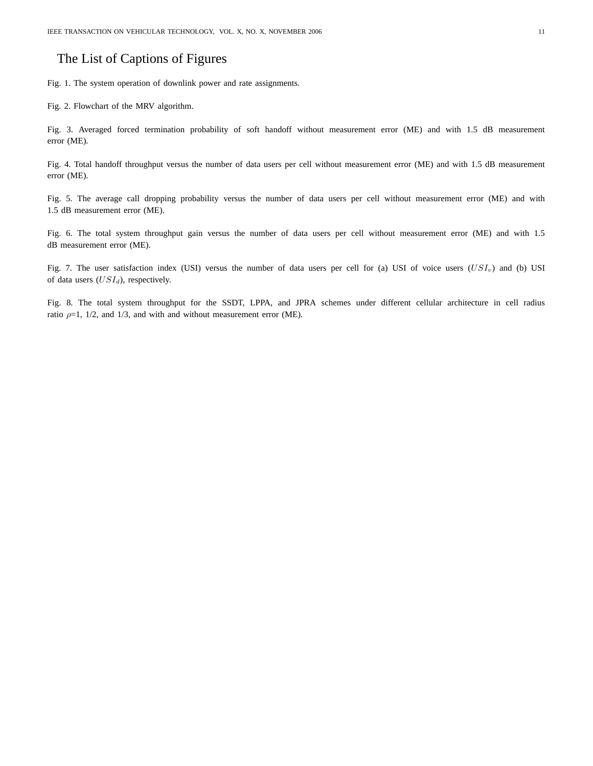### The List of Captions of Figures

Fig. 1. The system operation of downlink power and rate assignments.

Fig. 2. Flowchart of the MRV algorithm.

Fig. 3. Averaged forced termination probability of soft handoff without measurement error (ME) and with 1.5 dB measurement error (ME).

Fig. 4. Total handoff throughput versus the number of data users per cell without measurement error (ME) and with 1.5 dB measurement error (ME).

Fig. 5. The average call dropping probability versus the number of data users per cell without measurement error (ME) and with 1.5 dB measurement error (ME).

Fig. 6. The total system throughput gain versus the number of data users per cell without measurement error (ME) and with 1.5 dB measurement error (ME).

Fig. 7. The user satisfaction index (USI) versus the number of data users per cell for (a) USI of voice users  $(USI_v)$  and (b) USI of data users  $(USI_d)$ , respectively.

Fig. 8. The total system throughput for the SSDT, LPPA, and JPRA schemes under different cellular architecture in cell radius ratio  $\rho=1$ , 1/2, and 1/3, and with and without measurement error (ME).